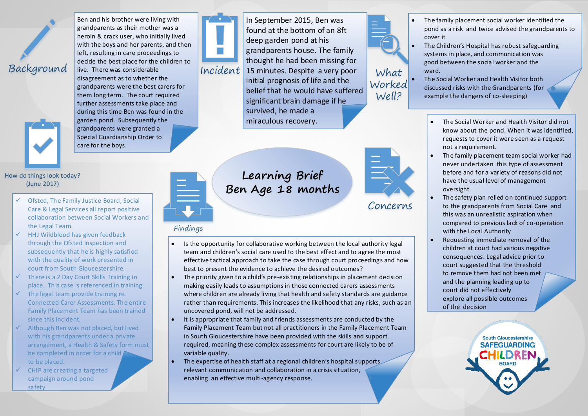

Ben and his brother were living with grandparents as their mother was a heroin & crack user, who initially lived with the boys and her parents, and then left, resulting in care proceedings to decide the best place for the children to live. There was considerable disagreement as to whether the grandparents were the best carers for them long term. The court required further assessments take place and during this time Ben was found in the garden pond. Subsequently the grandparents were granted a Special Guardianship Order to care for the boys.



In September 2015, Ben was found at the bottom of an 8ft deep garden pond at his grandparents house. The family thought he had been missing for  $Incident$  15 minutes. Despite a very poor What initial prognosis of life and the belief that he would have suffered significant brain damage if he survived, he made a miraculous recovery. Worked

 The family placement social worker identified the pond as a risk and twice advised the grandparents to cover it

- The Children's Hospital has robust safeguarding systems in place, and communication was good between the social worker and the ward.
	- The Social Worker and Health Visitor both discussed risks with the Grandparents (for example the dangers of co-sleeping)



## How do things look today? (June 2017)

- $\checkmark$  Ofsted, The Family Justice Board, Social Care & Legal Services all report positive collaboration between Social Workers and the Legal Team.
- $\checkmark$  HHJ Wildblood has given feedback through the Ofsted Inspection and subsequently that he is highly satisfied with the quality of work presented in court from South Gloucestershire.
- $\checkmark$  There is a 2 Day Court Skills Training in place. This case is referenced in training
- $\checkmark$  The legal team provide training re. Connected Carer Assessments. The entire Family Placement Team has been trained since this incident.
- $\checkmark$  Although Ben was not placed, but lived with his grandparents under a private arrangement, a Health & Safety form must be completed in order for a child to be placed.
- CHIP are creating a targeted campaign around pond safety



## **Learning Brief Ben Age 18 months**

## Findings

- Is the opportunity for collaborative working between the local authority legal team and children's social care used to the best effect and to agree the most effective tactical approach to take the case through court proceedings and how best to present the evidence to achieve the desired outcomes?
- The priority given to a child's pre-existing relationships in placement decision making easily leads to assumptions in those connected carers assessments where children are already living that health and safety standards are guidance rather than requirements. This increases the likelihood that any risks, such as an uncovered pond, will not be addressed.
- It is appropriate that family and friends assessments are conducted by the Family Placement Team but not all practitioners in the Family Placement Team in South Gloucestershire have been provided with the skills and support required, meaning these complex assessments for court are likely to be of variable quality.
- The expertise of health staff at a regional children's hospital supports relevant communication and collaboration in a crisis situation, enabling an effective multi-agency response.



Well?

Concerns

- The Social Worker and Health Visitor did not know about the pond. When it was identified, requests to cover it were seen as a request not a requirement.
- The family placement team social worker had never undertaken this type of assessment before and for a variety of reasons did not have the usual level of management oversight.
- The safety plan relied on continued support to the grandparents from Social Care and this was an unrealistic aspiration when compared to previous lack of co-operation with the Local Authority
- Requesting immediate removal of the children at court had various negative consequences. Legal advice prior to court suggested that the threshold to remove them had not been met and the planning leading up to court did not effectively explore all possible outcomes of the decision

**South Gloucestershire SAFEGUARDING BOARD**